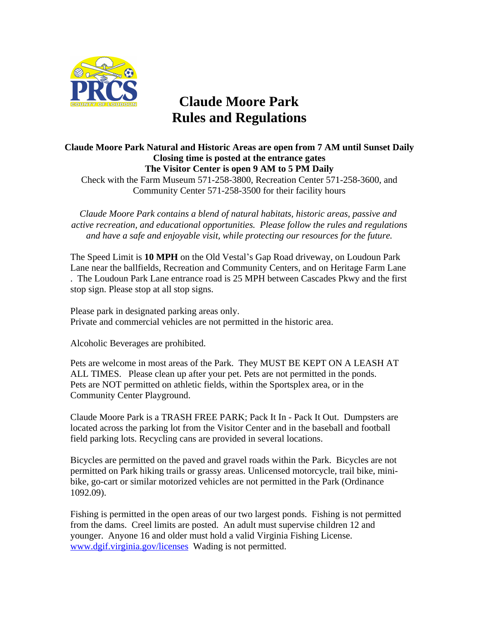

## **Claude Moore Park Rules and Regulations**

## **Claude Moore Park Natural and Historic Areas are open from 7 AM until Sunset Daily Closing time is posted at the entrance gates The Visitor Center is open 9 AM to 5 PM Daily**

Check with the Farm Museum 571-258-3800, Recreation Center 571-258-3600, and Community Center 571-258-3500 for their facility hours

*Claude Moore Park contains a blend of natural habitats, historic areas, passive and active recreation, and educational opportunities. Please follow the rules and regulations and have a safe and enjoyable visit, while protecting our resources for the future.*

The Speed Limit is **10 MPH** on the Old Vestal's Gap Road driveway, on Loudoun Park Lane near the ballfields, Recreation and Community Centers, and on Heritage Farm Lane . The Loudoun Park Lane entrance road is 25 MPH between Cascades Pkwy and the first stop sign. Please stop at all stop signs.

Please park in designated parking areas only. Private and commercial vehicles are not permitted in the historic area.

Alcoholic Beverages are prohibited.

Pets are welcome in most areas of the Park. They MUST BE KEPT ON A LEASH AT ALL TIMES. Please clean up after your pet. Pets are not permitted in the ponds. Pets are NOT permitted on athletic fields, within the Sportsplex area, or in the Community Center Playground.

Claude Moore Park is a TRASH FREE PARK; Pack It In - Pack It Out. Dumpsters are located across the parking lot from the Visitor Center and in the baseball and football field parking lots. Recycling cans are provided in several locations.

Bicycles are permitted on the paved and gravel roads within the Park. Bicycles are not permitted on Park hiking trails or grassy areas. Unlicensed motorcycle, trail bike, minibike, go-cart or similar motorized vehicles are not permitted in the Park (Ordinance 1092.09).

Fishing is permitted in the open areas of our two largest ponds. Fishing is not permitted from the dams. Creel limits are posted. An adult must supervise children 12 and younger. Anyone 16 and older must hold a valid Virginia Fishing License. [www.dgif.virginia.gov/licenses](http://www.dgif.virginia.gov/licenses) Wading is not permitted.